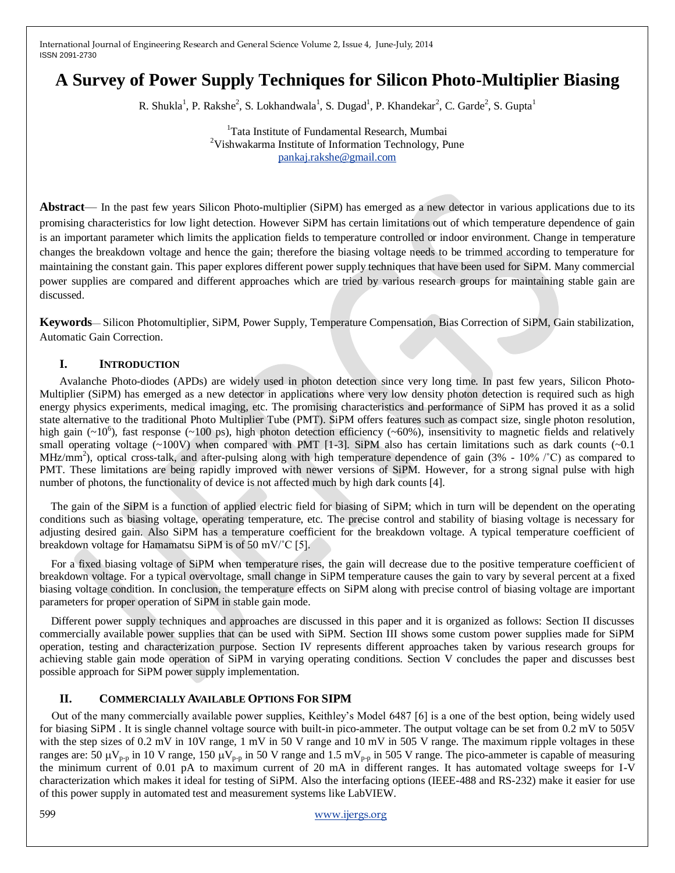# **A Survey of Power Supply Techniques for Silicon Photo-Multiplier Biasing**

R. Shukla<sup>1</sup>, P. Rakshe<sup>2</sup>, S. Lokhandwala<sup>1</sup>, S. Dugad<sup>1</sup>, P. Khandekar<sup>2</sup>, C. Garde<sup>2</sup>, S. Gupta<sup>1</sup>

<sup>1</sup>Tata Institute of Fundamental Research, Mumbai <sup>2</sup>Vishwakarma Institute of Information Technology, Pune [pankaj.rakshe@gmail.com](mailto:pankaj.rakshe@gmail.com)

**Abstract**— In the past few years Silicon Photo-multiplier (SiPM) has emerged as a new detector in various applications due to its promising characteristics for low light detection. However SiPM has certain limitations out of which temperature dependence of gain is an important parameter which limits the application fields to temperature controlled or indoor environment. Change in temperature changes the breakdown voltage and hence the gain; therefore the biasing voltage needs to be trimmed according to temperature for maintaining the constant gain. This paper explores different power supply techniques that have been used for SiPM. Many commercial power supplies are compared and different approaches which are tried by various research groups for maintaining stable gain are discussed.

**Keywords**— Silicon Photomultiplier, SiPM, Power Supply, Temperature Compensation, Bias Correction of SiPM, Gain stabilization, Automatic Gain Correction.

# **I. INTRODUCTION**

Avalanche Photo-diodes (APDs) are widely used in photon detection since very long time. In past few years, Silicon Photo-Multiplier (SiPM) has emerged as a new detector in applications where very low density photon detection is required such as high energy physics experiments, medical imaging, etc. The promising characteristics and performance of SiPM has proved it as a solid state alternative to the traditional Photo Multiplier Tube (PMT). SiPM offers features such as compact size, single photon resolution, high gain  $({\sim}10^6)$ , fast response  $({\sim}100 \text{ ps})$ , high photon detection efficiency  $({\sim}60\%)$ , insensitivity to magnetic fields and relatively small operating voltage (~100V) when compared with PMT [1-3]. SiPM also has certain limitations such as dark counts (~0.1) MHz/mm<sup>2</sup>), optical cross-talk, and after-pulsing along with high temperature dependence of gain (3% - 10%  $\degree$ C) as compared to PMT. These limitations are being rapidly improved with newer versions of SiPM. However, for a strong signal pulse with high number of photons, the functionality of device is not affected much by high dark counts [4].

 The gain of the SiPM is a function of applied electric field for biasing of SiPM; which in turn will be dependent on the operating conditions such as biasing voltage, operating temperature, etc. The precise control and stability of biasing voltage is necessary for adjusting desired gain. Also SiPM has a temperature coefficient for the breakdown voltage. A typical temperature coefficient of breakdown voltage for Hamamatsu SiPM is of 50 mV/°C [5].

 For a fixed biasing voltage of SiPM when temperature rises, the gain will decrease due to the positive temperature coefficient of breakdown voltage. For a typical overvoltage, small change in SiPM temperature causes the gain to vary by several percent at a fixed biasing voltage condition. In conclusion, the temperature effects on SiPM along with precise control of biasing voltage are important parameters for proper operation of SiPM in stable gain mode.

 Different power supply techniques and approaches are discussed in this paper and it is organized as follows: Section II discusses commercially available power supplies that can be used with SiPM. Section III shows some custom power supplies made for SiPM operation, testing and characterization purpose. Section IV represents different approaches taken by various research groups for achieving stable gain mode operation of SiPM in varying operating conditions. Section V concludes the paper and discusses best possible approach for SiPM power supply implementation.

## **II. COMMERCIALLY AVAILABLE OPTIONS FOR SIPM**

Out of the many commercially available power supplies, Keithley's Model 6487 [6] is a one of the best option, being widely used for biasing SiPM . It is single channel voltage source with built-in pico-ammeter. The output voltage can be set from 0.2 mV to 505V with the step sizes of 0.2 mV in 10V range, 1 mV in 50 V range and 10 mV in 505 V range. The maximum ripple voltages in these ranges are: 50  $\mu$ V<sub>p-p</sub> in 10 V range, 150  $\mu$ V<sub>p-p</sub> in 50 V range and 1.5 mV<sub>p-p</sub> in 505 V range. The pico-ammeter is capable of measuring the minimum current of 0.01 pA to maximum current of 20 mA in different ranges. It has automated voltage sweeps for I-V characterization which makes it ideal for testing of SiPM. Also the interfacing options (IEEE-488 and RS-232) make it easier for use of this power supply in automated test and measurement systems like LabVIEW.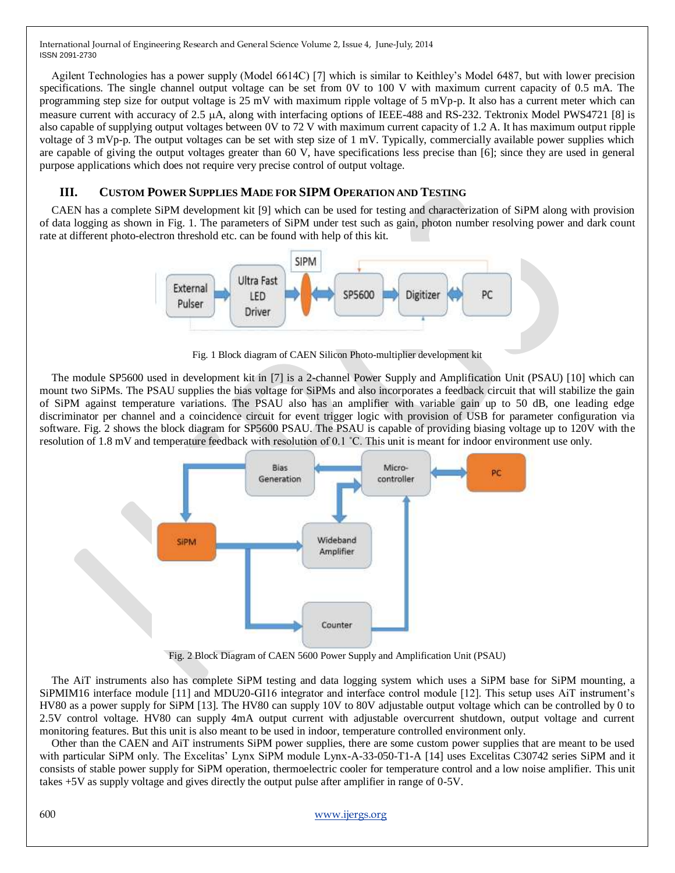Agilent Technologies has a power supply (Model 6614C) [7] which is similar to Keithley's Model 6487, but with lower precision specifications. The single channel output voltage can be set from 0V to 100 V with maximum current capacity of 0.5 mA. The programming step size for output voltage is 25 mV with maximum ripple voltage of 5 mVp-p. It also has a current meter which can measure current with accuracy of 2.5 µA, along with interfacing options of IEEE-488 and RS-232. Tektronix Model PWS4721 [8] is also capable of supplying output voltages between 0V to 72 V with maximum current capacity of 1.2 A. It has maximum output ripple voltage of 3 mVp-p. The output voltages can be set with step size of 1 mV. Typically, commercially available power supplies which are capable of giving the output voltages greater than 60 V, have specifications less precise than [6]; since they are used in general purpose applications which does not require very precise control of output voltage.

# **III. CUSTOM POWER SUPPLIES MADE FOR SIPM OPERATION AND TESTING**

CAEN has a complete SiPM development kit [9] which can be used for testing and characterization of SiPM along with provision of data logging as shown in Fig. 1. The parameters of SiPM under test such as gain, photon number resolving power and dark count rate at different photo-electron threshold etc. can be found with help of this kit.



Fig. 1 Block diagram of CAEN Silicon Photo-multiplier development kit

The module SP5600 used in development kit in [7] is a 2-channel Power Supply and Amplification Unit (PSAU) [10] which can mount two SiPMs. The PSAU supplies the bias voltage for SiPMs and also incorporates a feedback circuit that will stabilize the gain of SiPM against temperature variations. The PSAU also has an amplifier with variable gain up to 50 dB, one leading edge discriminator per channel and a coincidence circuit for event trigger logic with provision of USB for parameter configuration via software. Fig. 2 shows the block diagram for SP5600 PSAU. The PSAU is capable of providing biasing voltage up to 120V with the resolution of 1.8 mV and temperature feedback with resolution of 0.1 ˚C. This unit is meant for indoor environment use only.



Fig. 2 Block Diagram of CAEN 5600 Power Supply and Amplification Unit (PSAU)

The AiT instruments also has complete SiPM testing and data logging system which uses a SiPM base for SiPM mounting, a SiPMIM16 interface module [11] and MDU20-GI16 integrator and interface control module [12]. This setup uses AiT instrument's HV80 as a power supply for SiPM [13]. The HV80 can supply 10V to 80V adjustable output voltage which can be controlled by 0 to 2.5V control voltage. HV80 can supply 4mA output current with adjustable overcurrent shutdown, output voltage and current monitoring features. But this unit is also meant to be used in indoor, temperature controlled environment only.

Other than the CAEN and AiT instruments SiPM power supplies, there are some custom power supplies that are meant to be used with particular SiPM only. The Excelitas' Lynx SiPM module Lynx-A-33-050-T1-A [14] uses Excelitas C30742 series SiPM and it consists of stable power supply for SiPM operation, thermoelectric cooler for temperature control and a low noise amplifier. This unit takes +5V as supply voltage and gives directly the output pulse after amplifier in range of 0-5V.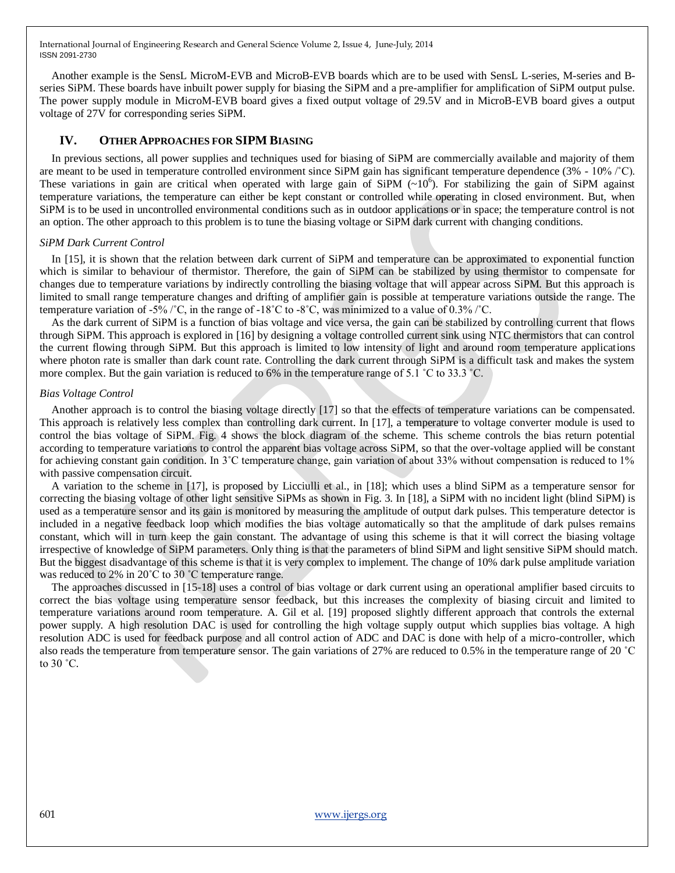Another example is the SensL MicroM-EVB and MicroB-EVB boards which are to be used with SensL L-series, M-series and Bseries SiPM. These boards have inbuilt power supply for biasing the SiPM and a pre-amplifier for amplification of SiPM output pulse. The power supply module in MicroM-EVB board gives a fixed output voltage of 29.5V and in MicroB-EVB board gives a output voltage of 27V for corresponding series SiPM.

## **IV. OTHER APPROACHES FOR SIPM BIASING**

In previous sections, all power supplies and techniques used for biasing of SiPM are commercially available and majority of them are meant to be used in temperature controlled environment since SiPM gain has significant temperature dependence (3% - 10% /˚C). These variations in gain are critical when operated with large gain of SiPM  $(-10^6)$ . For stabilizing the gain of SiPM against temperature variations, the temperature can either be kept constant or controlled while operating in closed environment. But, when SiPM is to be used in uncontrolled environmental conditions such as in outdoor applications or in space; the temperature control is not an option. The other approach to this problem is to tune the biasing voltage or SiPM dark current with changing conditions.

#### *SiPM Dark Current Control*

In [15], it is shown that the relation between dark current of SiPM and temperature can be approximated to exponential function which is similar to behaviour of thermistor. Therefore, the gain of SiPM can be stabilized by using thermistor to compensate for changes due to temperature variations by indirectly controlling the biasing voltage that will appear across SiPM. But this approach is limited to small range temperature changes and drifting of amplifier gain is possible at temperature variations outside the range. The temperature variation of -5% / $^{\circ}$ C, in the range of -18 $^{\circ}$ C to -8 $^{\circ}$ C, was minimized to a value of 0.3% / $^{\circ}$ C.

As the dark current of SiPM is a function of bias voltage and vice versa, the gain can be stabilized by controlling current that flows through SiPM. This approach is explored in [16] by designing a voltage controlled current sink using NTC thermistors that can control the current flowing through SiPM. But this approach is limited to low intensity of light and around room temperature applications where photon rate is smaller than dark count rate. Controlling the dark current through SiPM is a difficult task and makes the system more complex. But the gain variation is reduced to 6% in the temperature range of 5.1 ˚C to 33.3 ˚C.

#### *Bias Voltage Control*

Another approach is to control the biasing voltage directly [17] so that the effects of temperature variations can be compensated. This approach is relatively less complex than controlling dark current. In [17], a temperature to voltage converter module is used to control the bias voltage of SiPM. Fig. 4 shows the block diagram of the scheme. This scheme controls the bias return potential according to temperature variations to control the apparent bias voltage across SiPM, so that the over-voltage applied will be constant for achieving constant gain condition. In 3°C temperature change, gain variation of about 33% without compensation is reduced to 1% with passive compensation circuit.

A variation to the scheme in [17], is proposed by Licciulli et al., in [18]; which uses a blind SiPM as a temperature sensor for correcting the biasing voltage of other light sensitive SiPMs as shown in Fig. 3. In [18], a SiPM with no incident light (blind SiPM) is used as a temperature sensor and its gain is monitored by measuring the amplitude of output dark pulses. This temperature detector is included in a negative feedback loop which modifies the bias voltage automatically so that the amplitude of dark pulses remains constant, which will in turn keep the gain constant. The advantage of using this scheme is that it will correct the biasing voltage irrespective of knowledge of SiPM parameters. Only thing is that the parameters of blind SiPM and light sensitive SiPM should match. But the biggest disadvantage of this scheme is that it is very complex to implement. The change of 10% dark pulse amplitude variation was reduced to 2% in 20°C to 30 °C temperature range.

The approaches discussed in [15-18] uses a control of bias voltage or dark current using an operational amplifier based circuits to correct the bias voltage using temperature sensor feedback, but this increases the complexity of biasing circuit and limited to temperature variations around room temperature. A. Gil et al. [19] proposed slightly different approach that controls the external power supply. A high resolution DAC is used for controlling the high voltage supply output which supplies bias voltage. A high resolution ADC is used for feedback purpose and all control action of ADC and DAC is done with help of a micro-controller, which also reads the temperature from temperature sensor. The gain variations of 27% are reduced to 0.5% in the temperature range of 20 ˚C to 30 ˚C.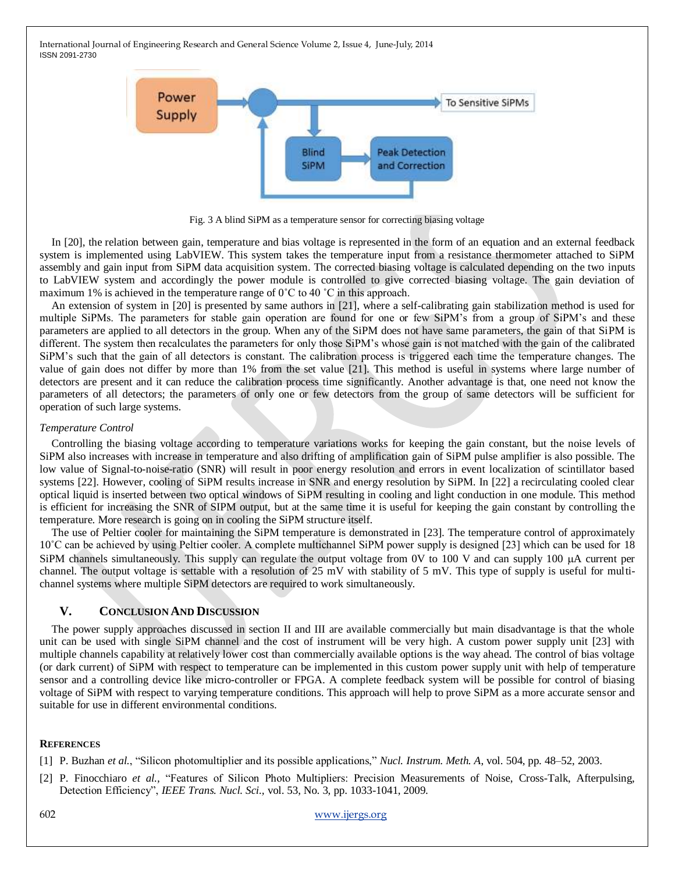

Fig. 3 A blind SiPM as a temperature sensor for correcting biasing voltage

In [20], the relation between gain, temperature and bias voltage is represented in the form of an equation and an external feedback system is implemented using LabVIEW. This system takes the temperature input from a resistance thermometer attached to SiPM assembly and gain input from SiPM data acquisition system. The corrected biasing voltage is calculated depending on the two inputs to LabVIEW system and accordingly the power module is controlled to give corrected biasing voltage. The gain deviation of maximum 1% is achieved in the temperature range of 0˚C to 40 ˚C in this approach.

An extension of system in [20] is presented by same authors in [21], where a self-calibrating gain stabilization method is used for multiple SiPMs. The parameters for stable gain operation are found for one or few SiPM's from a group of SiPM's and these parameters are applied to all detectors in the group. When any of the SiPM does not have same parameters, the gain of that SiPM is different. The system then recalculates the parameters for only those SiPM's whose gain is not matched with the gain of the calibrated SiPM's such that the gain of all detectors is constant. The calibration process is triggered each time the temperature changes. The value of gain does not differ by more than 1% from the set value [21]. This method is useful in systems where large number of detectors are present and it can reduce the calibration process time significantly. Another advantage is that, one need not know the parameters of all detectors; the parameters of only one or few detectors from the group of same detectors will be sufficient for operation of such large systems.

#### *Temperature Control*

Controlling the biasing voltage according to temperature variations works for keeping the gain constant, but the noise levels of SiPM also increases with increase in temperature and also drifting of amplification gain of SiPM pulse amplifier is also possible. The low value of Signal-to-noise-ratio (SNR) will result in poor energy resolution and errors in event localization of scintillator based systems [22]. However, cooling of SiPM results increase in SNR and energy resolution by SiPM. In [22] a recirculating cooled clear optical liquid is inserted between two optical windows of SiPM resulting in cooling and light conduction in one module. This method is efficient for increasing the SNR of SIPM output, but at the same time it is useful for keeping the gain constant by controlling the temperature. More research is going on in cooling the SiPM structure itself.

The use of Peltier cooler for maintaining the SiPM temperature is demonstrated in [23]. The temperature control of approximately 10˚C can be achieved by using Peltier cooler. A complete multichannel SiPM power supply is designed [23] which can be used for 18 SiPM channels simultaneously. This supply can regulate the output voltage from  $0V$  to  $100$  V and can supply  $100 \mu A$  current per channel. The output voltage is settable with a resolution of 25 mV with stability of 5 mV. This type of supply is useful for multichannel systems where multiple SiPM detectors are required to work simultaneously.

### **V. CONCLUSION AND DISCUSSION**

The power supply approaches discussed in section II and III are available commercially but main disadvantage is that the whole unit can be used with single SiPM channel and the cost of instrument will be very high. A custom power supply unit [23] with multiple channels capability at relatively lower cost than commercially available options is the way ahead. The control of bias voltage (or dark current) of SiPM with respect to temperature can be implemented in this custom power supply unit with help of temperature sensor and a controlling device like micro-controller or FPGA. A complete feedback system will be possible for control of biasing voltage of SiPM with respect to varying temperature conditions. This approach will help to prove SiPM as a more accurate sensor and suitable for use in different environmental conditions.

#### **REFERENCES**

[1] P. Buzhan *et al.*, "Silicon photomultiplier and its possible applications," *Nucl. Instrum. Meth. A*, vol. 504, pp. 48–52, 2003.

[2] P. Finocchiaro *et al.*, "Features of Silicon Photo Multipliers: Precision Measurements of Noise, Cross-Talk, Afterpulsing, Detection Efficiency‖, *IEEE Trans. Nucl. Sci.,* vol. 53, No. 3, pp. 1033-1041, 2009.